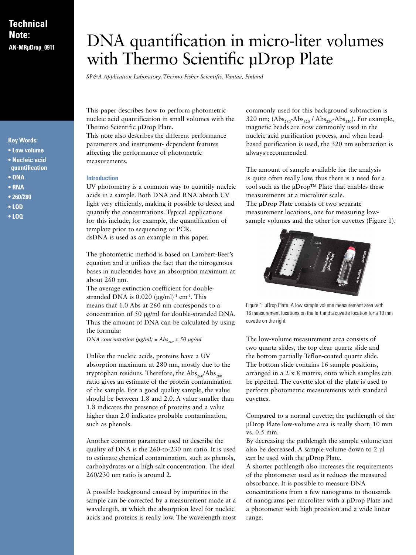# **Technical Note:**

# **Key Words:**

- **Low volume**
- **Nucleic acid quantification**
- **DNA**
- **RNA**
- **260/280**
- **LOD**
- **LOQ**

# **Note:** DNA quantification in micro-liter volumes with Thermo Scientific µDrop Plate

*SP&A Application Laboratory, Thermo Fisher Scientific, Vantaa, Finland*

This paper describes how to perform photometric nucleic acid quantification in small volumes with the Thermo Scientific µDrop Plate. This note also describes the different performance

parameters and instrument- dependent features affecting the performance of photometric measurements.

#### **Introduction**

UV photometry is a common way to quantify nucleic acids in a sample. Both DNA and RNA absorb UV light very efficiently, making it possible to detect and quantify the concentrations. Typical applications for this include, for example, the quantification of template prior to sequencing or PCR. dsDNA is used as an example in this paper.

The photometric method is based on Lambert-Beer's equation and it utilizes the fact that the nitrogenous bases in nucleotides have an absorption maximum at about 260 nm.

The average extinction coefficient for doublestranded DNA is  $0.020 \text{ (µg/ml)}^{-1} \text{ cm}^{-1}$ . This means that 1.0 Abs at 260 nm corresponds to a concentration of 50 μg/ml for double-stranded DNA. Thus the amount of DNA can be calculated by using the formula:

*DNA concentration (μg/ml)* =  $Abs_{260}$  x 50 μg/ml

Unlike the nucleic acids, proteins have a UV absorption maximum at 280 nm, mostly due to the tryptophan residues. Therefore, the  $\mathrm{Abs}_{260}/\mathrm{Abs}_{280}$ ratio gives an estimate of the protein contamination of the sample. For a good quality sample, the value should be between 1.8 and 2.0. A value smaller than 1.8 indicates the presence of proteins and a value higher than 2.0 indicates probable contamination, such as phenols.

Another common parameter used to describe the quality of DNA is the 260-to-230 nm ratio. It is used to estimate chemical contamination, such as phenols, carbohydrates or a high salt concentration. The ideal 260/230 nm ratio is around 2.

A possible background caused by impurities in the sample can be corrected by a measurement made at a wavelength, at which the absorption level for nucleic acids and proteins is really low. The wavelength most

commonly used for this background subtraction is 320 nm;  $(Abs_{260} - Abs_{320} / Abs_{280} - Abs_{320})$ . For example, magnetic beads are now commonly used in the nucleic acid purification process, and when beadbased purification is used, the 320 nm subtraction is always recommended.

The amount of sample available for the analysis is quite often really low, thus there is a need for a tool such as the µDrop™ Plate that enables these measurements at a microliter scale. The μDrop Plate consists of two separate measurement locations, one for measuring lowsample volumes and the other for cuvettes (Figure 1).



Figure 1. µDrop Plate. A low sample volume measurement area with 16 measurement locations on the left and a cuvette location for a 10 mm cuvette on the right.

The low-volume measurement area consists of two quartz slides, the top clear quartz slide and the bottom partially Teflon-coated quartz slide. The bottom slide contains 16 sample positions, arranged in a 2 x 8 matrix, onto which samples can be pipetted. The cuvette slot of the plate is used to perform photometric measurements with standard cuvettes.

Compared to a normal cuvette; the pathlength of the µDrop Plate low-volume area is really short; 10 mm vs. 0.5 mm.

By decreasing the pathlength the sample volume can also be decreased. A sample volume down to 2 µl can be used with the µDrop Plate.

A shorter pathlength also increases the requirements of the photometer used as it reduces the measured absorbance. It is possible to measure DNA concentrations from a few nanograms to thousands of nanograms per microliter with a µDrop Plate and a photometer with high precision and a wide linear range.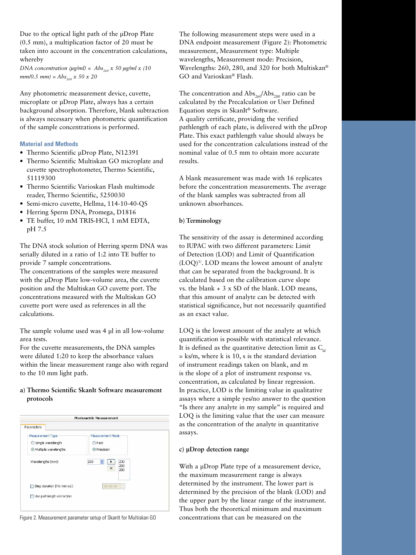Due to the optical light path of the µDrop Plate (0.5 mm), a multiplication factor of 20 must be taken into account in the concentration calculations, whereby

*DNA concentration (μg/ml)* =  $Abs_{260}$  x 50 μg/ml x (10  $mm/0.5$   $mm$  = Abs<sub>260</sub> x 50 x 20

Any photometric measurement device, cuvette, microplate or µDrop Plate, always has a certain background absorption. Therefore, blank subtraction is always necessary when photometric quantification of the sample concentrations is performed.

#### **Material and Methods**

- Thermo Scientific µDrop Plate, N12391
- • Thermo Scientific Multiskan GO microplate and cuvette spectrophotometer, Thermo Scientific, 51119300
- • Thermo Scientific Varioskan Flash multimode reader, Thermo Scientific, 5250030
- Semi-micro cuvette, Hellma, 114-10-40-QS
- Herring Sperm DNA, Promega, D1816
- • TE buffer, 10 mM TRIS-HCl, 1 mM EDTA, pH 7.5

The DNA stock solution of Herring sperm DNA was serially diluted in a ratio of 1:2 into TE buffer to provide 7 sample concentrations.

The concentrations of the samples were measured with the µDrop Plate low-volume area, the cuvette position and the Multiskan GO cuvette port. The concentrations measured with the Multiskan GO cuvette port were used as references in all the calculations.

The sample volume used was 4 µl in all low-volume area tests.

For the cuvette measurements, the DNA samples were diluted 1:20 to keep the absorbance values within the linear measurement range also with regard to the 10 mm light path.

## **a) Thermo Scientific SkanIt Software measurement protocols**

| <b>Photometric Measurement</b> |                                           |  |  |
|--------------------------------|-------------------------------------------|--|--|
| Parameters                     |                                           |  |  |
| Measurement Type               | Measurement Mode                          |  |  |
| ○ Single wavelength            | $\bigcirc$ Fast                           |  |  |
| Multiple wavelengths           | <b>O</b> Precision                        |  |  |
| Wavelengths [nm]:              | 280<br>230<br>٠<br>260<br>$\times$<br>280 |  |  |
| Step duration [hh:mm:ss]:      | 00:00:00<br>$\frac{1}{2}$                 |  |  |
| Use pathlength correction      |                                           |  |  |

The following measurement steps were used in a DNA endpoint measurement (Figure 2): Photometric measurement, Measurement type: Multiple wavelengths, Measurement mode: Precision, Wavelengths: 260, 280, and 320 for both Multiskan® GO and Varioskan® Flash.

The concentration and  $\text{Abs}_{260}/\text{Abs}_{280}$  ratio can be calculated by the Precalculation or User Defined Equation steps in SkanIt® Software. A quality certificate, providing the verified pathlength of each plate, is delivered with the µDrop Plate. This exact pathlength value should always be used for the concentration calculations instead of the nominal value of 0.5 mm to obtain more accurate results.

A blank measurement was made with 16 replicates before the concentration measurements. The average of the blank samples was subtracted from all unknown absorbances.

### **b) Terminology**

The sensitivity of the assay is determined according to IUPAC with two different parameters: Limit of Detection (LOD) and Limit of Quantification (LOQ)1). LOD means the lowest amount of analyte that can be separated from the background. It is calculated based on the calibration curve slope vs. the blank + 3 x SD of the blank. LOD means, that this amount of analyte can be detected with statistical significance, but not necessarily quantified as an exact value.

LOQ is the lowest amount of the analyte at which quantification is possible with statistical relevance. It is defined as the quantitative detection limit as  $C_{\text{td}}$  $=$  ks/m, where k is 10, s is the standard deviation of instrument readings taken on blank, and m is the slope of a plot of instrument response vs. concentration, as calculated by linear regression. In practice, LOD is the limiting value in qualitative assays where a simple yes/no answer to the question "Is there any analyte in my sample" is required and LOQ is the limiting value that the user can measure as the concentration of the analyte in quantitative assays.

#### **c) µDrop detection range**

With a uDrop Plate type of a measurement device, the maximum measurement range is always determined by the instrument. The lower part is determined by the precision of the blank (LOD) and the upper part by the linear range of the instrument. Thus both the theoretical minimum and maximum Figure 2. Measurement parameter setup of SkanIt for Multiskan GO concentrations that can be measured on the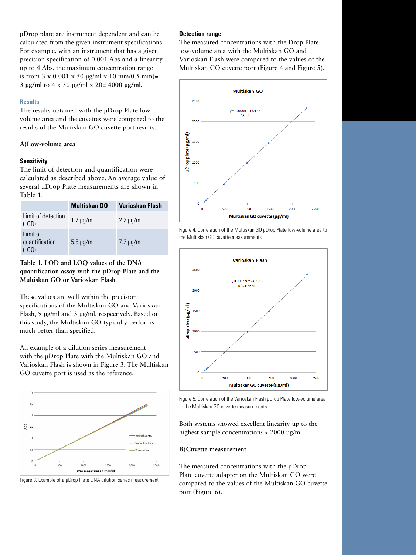µDrop plate are instrument dependent and can be calculated from the given instrument specifications. For example, with an instrument that has a given precision specification of 0.001 Abs and a linearity up to 4 Abs, the maximum concentration range is from  $3 \times 0.001 \times 50$  ug/ml  $\times$  10 mm/0.5 mm)= **3 µg/ml** to 4 x 50 µg/ml x 20= **4000 µg/ml**.

#### **Results**

The results obtained with the µDrop Plate lowvolume area and the cuvettes were compared to the results of the Multiskan GO cuvette port results.

#### **A)Low-volume area**

#### **Sensitivity**

The limit of detection and quantification were calculated as described above. An average value of several µDrop Plate measurements are shown in Table 1.

|                                    | <b>Multiskan GO</b> | <b>Varioskan Flash</b> |
|------------------------------------|---------------------|------------------------|
| Limit of detection<br>(LOD)        | $1.7 \mu q/ml$      | $2.2 \mu g/ml$         |
| Limit of<br>quantification<br>(10) | $5.6 \mu g/ml$      | $7.2 \mu g/ml$         |

# **Table 1. LOD and LOQ values of the DNA quantification assay with the µDrop Plate and the Multiskan GO or Varioskan Flash**

These values are well within the precision specifications of the Multiskan GO and Varioskan Flash, 9 µg/ml and 3 µg/ml, respectively. Based on this study, the Multiskan GO typically performs much better than specified.

An example of a dilution series measurement with the µDrop Plate with the Multiskan GO and Varioskan Flash is shown in Figure 3. The Multiskan GO cuvette port is used as the reference.





#### **Detection range**

The measured concentrations with the Drop Plate low-volume area with the Multiskan GO and Varioskan Flash were compared to the values of the Multiskan GO cuvette port (Figure 4 and Figure 5).



Figure 4. Correlation of the Multiskan GO µDrop Plate low-volume area to the Multiskan GO cuvette measurements





Both systems showed excellent linearity up to the highest sample concentration: > 2000 µg/ml.

#### **B)Cuvette measurement**

The measured concentrations with the uDrop Plate cuvette adapter on the Multiskan GO were compared to the values of the Multiskan GO cuvette port (Figure 6).